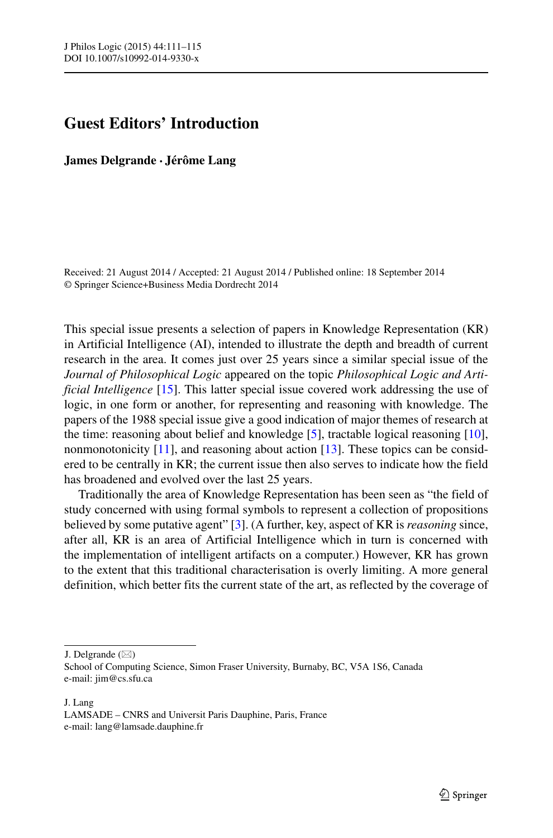## **Guest Editors' Introduction**

**James Delgrande · Jérôme Lang** 

Received: 21 August 2014 / Accepted: 21 August 2014 / Published online: 18 September 2014 © Springer Science+Business Media Dordrecht 2014

This special issue presents a selection of papers in Knowledge Representation (KR) in Artificial Intelligence (AI), intended to illustrate the depth and breadth of current research in the area. It comes just over 25 years since a similar special issue of the *Journal of Philosophical Logic* appeared on the topic *Philosophical Logic and Artificial Intelligence* [\[15\]](#page-4-0). This latter special issue covered work addressing the use of logic, in one form or another, for representing and reasoning with knowledge. The papers of the 1988 special issue give a good indication of major themes of research at the time: reasoning about belief and knowledge  $[5]$ , tractable logical reasoning  $[10]$ , nonmonotonicity [\[11\]](#page-4-3), and reasoning about action [\[13\]](#page-4-4). These topics can be considered to be centrally in KR; the current issue then also serves to indicate how the field has broadened and evolved over the last 25 years.

Traditionally the area of Knowledge Representation has been seen as "the field of study concerned with using formal symbols to represent a collection of propositions believed by some putative agent" [\[3\]](#page-4-5). (A further, key, aspect of KR is *reasoning* since, after all, KR is an area of Artificial Intelligence which in turn is concerned with the implementation of intelligent artifacts on a computer.) However, KR has grown to the extent that this traditional characterisation is overly limiting. A more general definition, which better fits the current state of the art, as reflected by the coverage of

J. Delgrande ( $\boxtimes$ )

School of Computing Science, Simon Fraser University, Burnaby, BC, V5A 1S6, Canada e-mail: [jim@cs.sfu.ca](mailto:jim@cs.sfu.ca)

J. Lang

LAMSADE – CNRS and Universit Paris Dauphine, Paris, France e-mail: [lang@lamsade.dauphine.fr](mailto:lang@lamsade.dauphine.fr )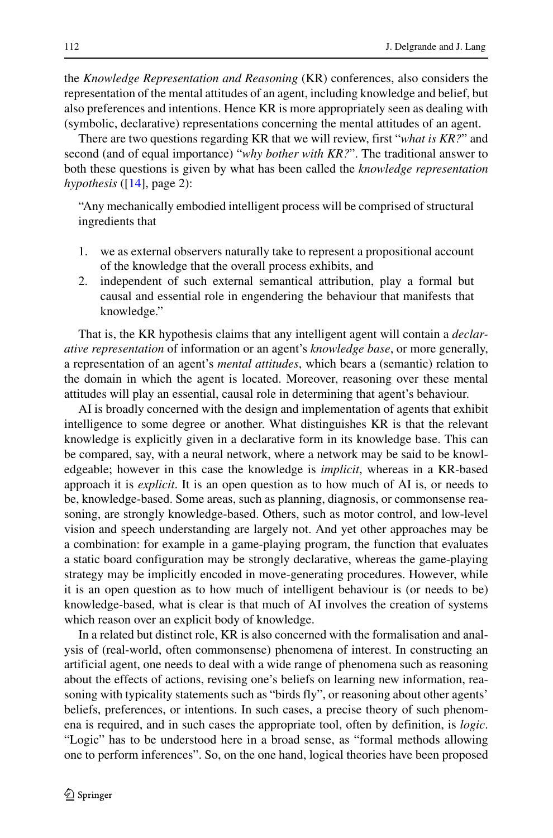the *Knowledge Representation and Reasoning* (KR) conferences, also considers the representation of the mental attitudes of an agent, including knowledge and belief, but also preferences and intentions. Hence KR is more appropriately seen as dealing with (symbolic, declarative) representations concerning the mental attitudes of an agent.

There are two questions regarding KR that we will review, first "*what is KR?*" and second (and of equal importance) "*why bother with KR?*". The traditional answer to both these questions is given by what has been called the *knowledge representation hypothesis* ([\[14\]](#page-4-6), page 2):

"Any mechanically embodied intelligent process will be comprised of structural ingredients that

- 1. we as external observers naturally take to represent a propositional account of the knowledge that the overall process exhibits, and
- 2. independent of such external semantical attribution, play a formal but causal and essential role in engendering the behaviour that manifests that knowledge."

That is, the KR hypothesis claims that any intelligent agent will contain a *declarative representation* of information or an agent's *knowledge base*, or more generally, a representation of an agent's *mental attitudes*, which bears a (semantic) relation to the domain in which the agent is located. Moreover, reasoning over these mental attitudes will play an essential, causal role in determining that agent's behaviour.

AI is broadly concerned with the design and implementation of agents that exhibit intelligence to some degree or another. What distinguishes KR is that the relevant knowledge is explicitly given in a declarative form in its knowledge base. This can be compared, say, with a neural network, where a network may be said to be knowledgeable; however in this case the knowledge is *implicit*, whereas in a KR-based approach it is *explicit*. It is an open question as to how much of AI is, or needs to be, knowledge-based. Some areas, such as planning, diagnosis, or commonsense reasoning, are strongly knowledge-based. Others, such as motor control, and low-level vision and speech understanding are largely not. And yet other approaches may be a combination: for example in a game-playing program, the function that evaluates a static board configuration may be strongly declarative, whereas the game-playing strategy may be implicitly encoded in move-generating procedures. However, while it is an open question as to how much of intelligent behaviour is (or needs to be) knowledge-based, what is clear is that much of AI involves the creation of systems which reason over an explicit body of knowledge.

In a related but distinct role, KR is also concerned with the formalisation and analysis of (real-world, often commonsense) phenomena of interest. In constructing an artificial agent, one needs to deal with a wide range of phenomena such as reasoning about the effects of actions, revising one's beliefs on learning new information, reasoning with typicality statements such as "birds fly", or reasoning about other agents' beliefs, preferences, or intentions. In such cases, a precise theory of such phenomena is required, and in such cases the appropriate tool, often by definition, is *logic*. "Logic" has to be understood here in a broad sense, as "formal methods allowing one to perform inferences". So, on the one hand, logical theories have been proposed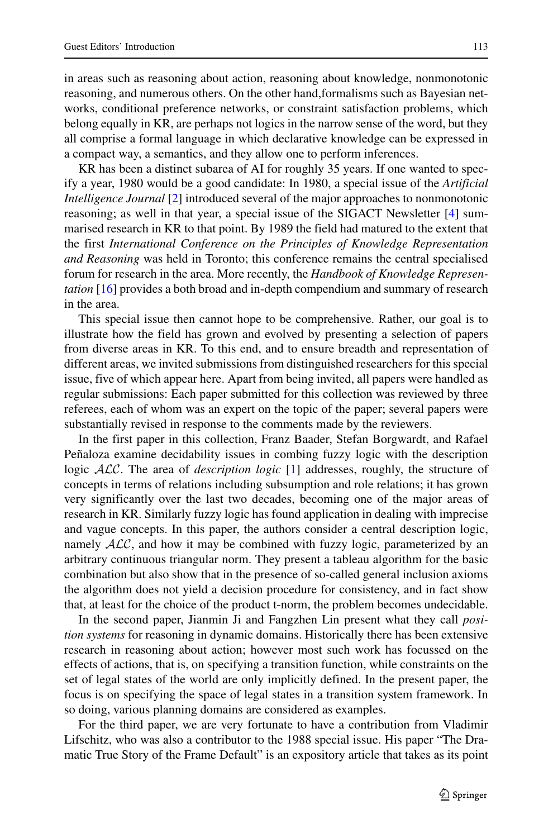in areas such as reasoning about action, reasoning about knowledge, nonmonotonic reasoning, and numerous others. On the other hand,formalisms such as Bayesian networks, conditional preference networks, or constraint satisfaction problems, which belong equally in KR, are perhaps not logics in the narrow sense of the word, but they all comprise a formal language in which declarative knowledge can be expressed in a compact way, a semantics, and they allow one to perform inferences.

KR has been a distinct subarea of AI for roughly 35 years. If one wanted to specify a year, 1980 would be a good candidate: In 1980, a special issue of the *Artificial Intelligence Journal* [\[2\]](#page-4-7) introduced several of the major approaches to nonmonotonic reasoning; as well in that year, a special issue of the SIGACT Newsletter [\[4\]](#page-4-8) summarised research in KR to that point. By 1989 the field had matured to the extent that the first *International Conference on the Principles of Knowledge Representation and Reasoning* was held in Toronto; this conference remains the central specialised forum for research in the area. More recently, the *Handbook of Knowledge Representation* [\[16\]](#page-4-9) provides a both broad and in-depth compendium and summary of research in the area.

This special issue then cannot hope to be comprehensive. Rather, our goal is to illustrate how the field has grown and evolved by presenting a selection of papers from diverse areas in KR. To this end, and to ensure breadth and representation of different areas, we invited submissions from distinguished researchers for this special issue, five of which appear here. Apart from being invited, all papers were handled as regular submissions: Each paper submitted for this collection was reviewed by three referees, each of whom was an expert on the topic of the paper; several papers were substantially revised in response to the comments made by the reviewers.

In the first paper in this collection, Franz Baader, Stefan Borgwardt, and Rafael Peñaloza examine decidability issues in combing fuzzy logic with the description logic *ALC*. The area of *description logic* [\[1\]](#page-4-10) addresses, roughly, the structure of concepts in terms of relations including subsumption and role relations; it has grown very significantly over the last two decades, becoming one of the major areas of research in KR. Similarly fuzzy logic has found application in dealing with imprecise and vague concepts. In this paper, the authors consider a central description logic, namely  $ALC$ , and how it may be combined with fuzzy logic, parameterized by an arbitrary continuous triangular norm. They present a tableau algorithm for the basic combination but also show that in the presence of so-called general inclusion axioms the algorithm does not yield a decision procedure for consistency, and in fact show that, at least for the choice of the product t-norm, the problem becomes undecidable.

In the second paper, Jianmin Ji and Fangzhen Lin present what they call *position systems* for reasoning in dynamic domains. Historically there has been extensive research in reasoning about action; however most such work has focussed on the effects of actions, that is, on specifying a transition function, while constraints on the set of legal states of the world are only implicitly defined. In the present paper, the focus is on specifying the space of legal states in a transition system framework. In so doing, various planning domains are considered as examples.

For the third paper, we are very fortunate to have a contribution from Vladimir Lifschitz, who was also a contributor to the 1988 special issue. His paper "The Dramatic True Story of the Frame Default" is an expository article that takes as its point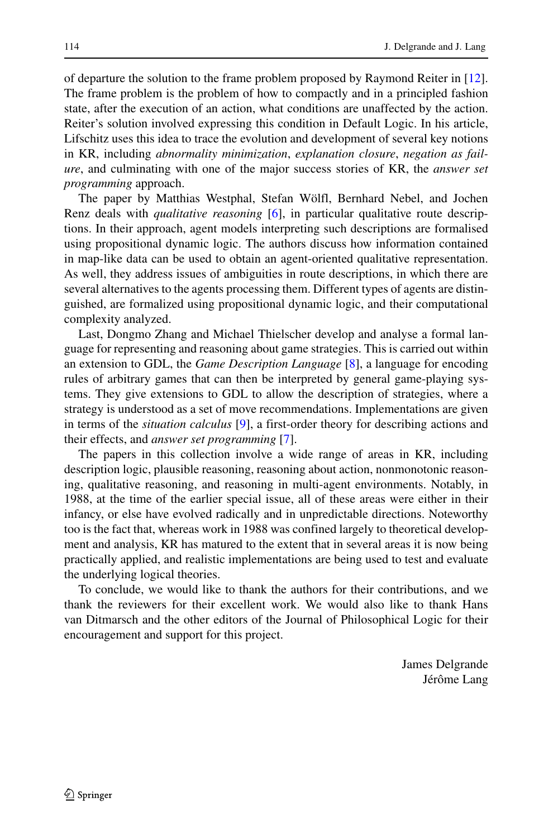of departure the solution to the frame problem proposed by Raymond Reiter in [\[12\]](#page-4-11). The frame problem is the problem of how to compactly and in a principled fashion state, after the execution of an action, what conditions are unaffected by the action. Reiter's solution involved expressing this condition in Default Logic. In his article, Lifschitz uses this idea to trace the evolution and development of several key notions in KR, including *abnormality minimization*, *explanation closure*, *negation as failure*, and culminating with one of the major success stories of KR, the *answer set programming* approach.

The paper by Matthias Westphal, Stefan Wölfl, Bernhard Nebel, and Jochen Renz deals with *qualitative reasoning* [\[6\]](#page-4-12), in particular qualitative route descriptions. In their approach, agent models interpreting such descriptions are formalised using propositional dynamic logic. The authors discuss how information contained in map-like data can be used to obtain an agent-oriented qualitative representation. As well, they address issues of ambiguities in route descriptions, in which there are several alternatives to the agents processing them. Different types of agents are distinguished, are formalized using propositional dynamic logic, and their computational complexity analyzed.

Last, Dongmo Zhang and Michael Thielscher develop and analyse a formal language for representing and reasoning about game strategies. This is carried out within an extension to GDL, the *Game Description Language* [\[8\]](#page-4-13), a language for encoding rules of arbitrary games that can then be interpreted by general game-playing systems. They give extensions to GDL to allow the description of strategies, where a strategy is understood as a set of move recommendations. Implementations are given in terms of the *situation calculus* [\[9\]](#page-4-14), a first-order theory for describing actions and their effects, and *answer set programming* [\[7\]](#page-4-15).

The papers in this collection involve a wide range of areas in KR, including description logic, plausible reasoning, reasoning about action, nonmonotonic reasoning, qualitative reasoning, and reasoning in multi-agent environments. Notably, in 1988, at the time of the earlier special issue, all of these areas were either in their infancy, or else have evolved radically and in unpredictable directions. Noteworthy too is the fact that, whereas work in 1988 was confined largely to theoretical development and analysis, KR has matured to the extent that in several areas it is now being practically applied, and realistic implementations are being used to test and evaluate the underlying logical theories.

To conclude, we would like to thank the authors for their contributions, and we thank the reviewers for their excellent work. We would also like to thank Hans van Ditmarsch and the other editors of the Journal of Philosophical Logic for their encouragement and support for this project.

> James Delgrande Jérôme Lang